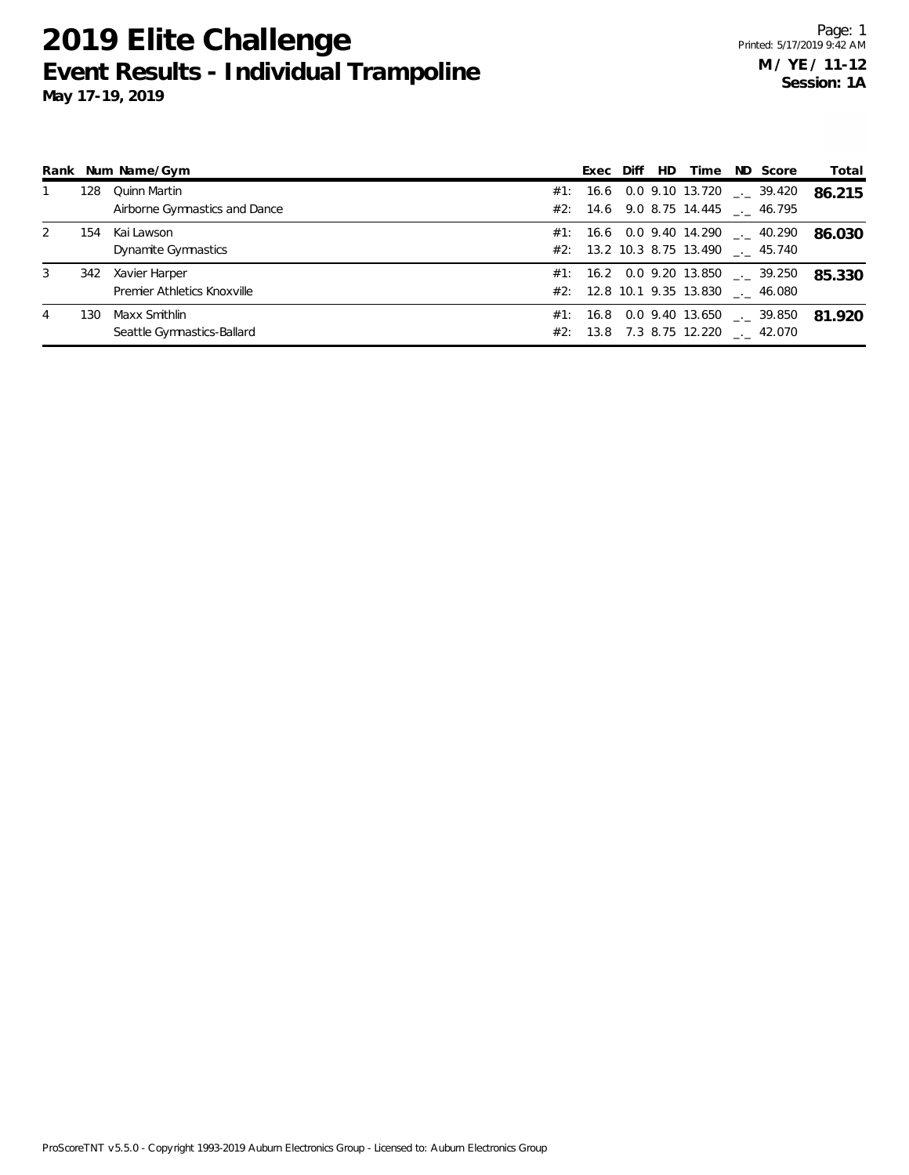|   |     | Rank Num Name/Gym                             | Exec Diff | HD | Time ND Score                                                                      | Total  |
|---|-----|-----------------------------------------------|-----------|----|------------------------------------------------------------------------------------|--------|
|   | 128 | Quinn Martin<br>Airborne Gymnastics and Dance |           |    | #1: 16.6 0.0 9.10 13.720 $\frac{1}{2}$ 39.420<br>#2: 14.6 9.0 8.75 14.445 . 46.795 | 86.215 |
| 2 | 154 | Kai Lawson<br>Dynamite Gymnastics             |           |    | #1: 16.6 0.0 9.40 14.290 $\_\_$ 40.290<br>#2: 13.2 10.3 8.75 13.490 . 45.740       | 86.030 |
| 3 | 342 | Xavier Harper<br>Premier Athletics Knoxville  |           |    | #1: 16.2 0.0 9.20 13.850 $\leq$ 39.250<br>#2: 12.8 10.1 9.35 13.830 . 46.080       | 85.330 |
| 4 | 130 | Maxx Smithlin<br>Seattle Gymnastics-Ballard   |           |    | #1: 16.8 0.0 9.40 13.650 $\qquad$ 39.850<br>#2: 13.8 7.3 8.75 12.220 . 42.070      | 81.920 |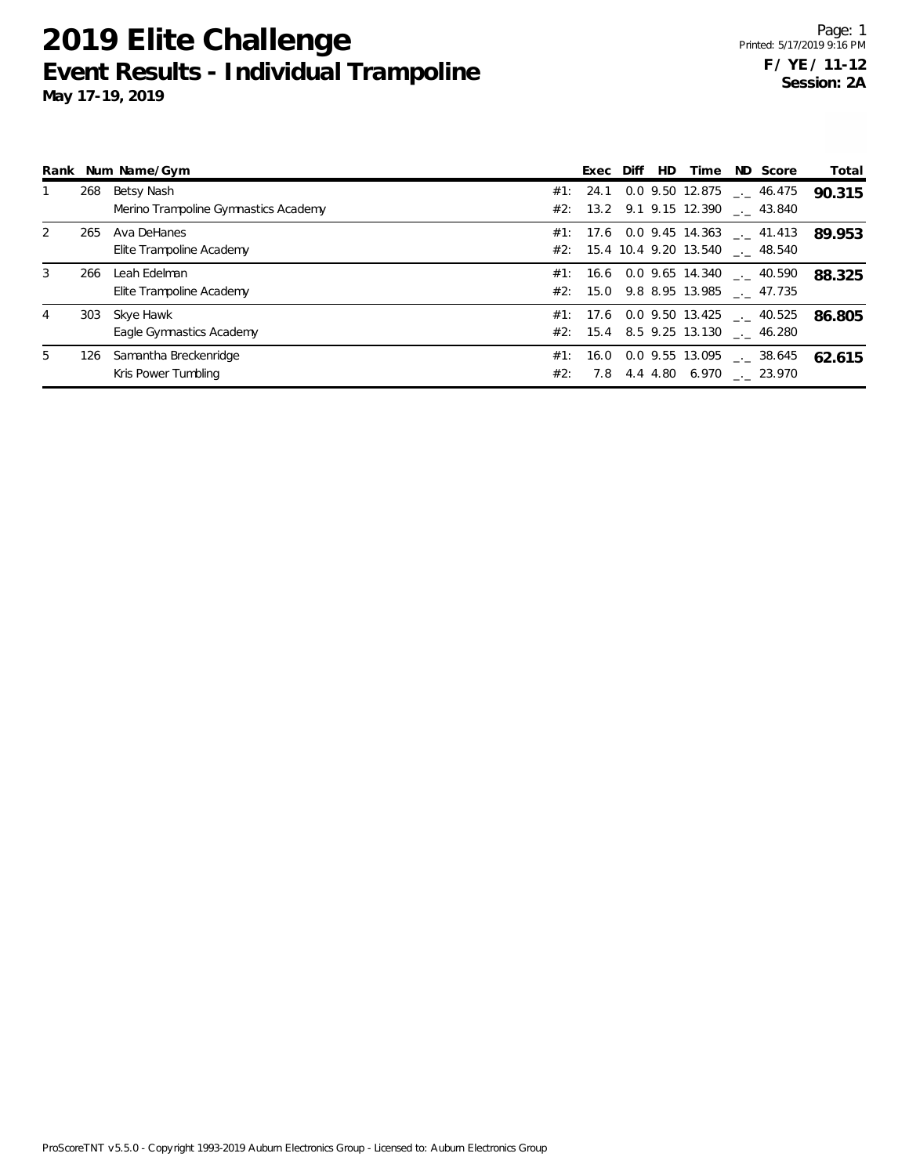|     |                                      |                          |  | HD.              | Time | ND Score | Total                                                                                                                                                                                                                                                                                                                                                                                             |
|-----|--------------------------------------|--------------------------|--|------------------|------|----------|---------------------------------------------------------------------------------------------------------------------------------------------------------------------------------------------------------------------------------------------------------------------------------------------------------------------------------------------------------------------------------------------------|
| 268 | Betsy Nash                           |                          |  |                  |      |          | 90.315                                                                                                                                                                                                                                                                                                                                                                                            |
|     | Merino Trampoline Gymnastics Academy |                          |  |                  |      |          |                                                                                                                                                                                                                                                                                                                                                                                                   |
| 265 | Ava DeHanes                          |                          |  |                  |      |          | 89.953                                                                                                                                                                                                                                                                                                                                                                                            |
|     | Elite Trampoline Academy             |                          |  |                  |      |          |                                                                                                                                                                                                                                                                                                                                                                                                   |
| 266 | Leah Edelman                         |                          |  |                  |      |          | 88.325                                                                                                                                                                                                                                                                                                                                                                                            |
|     | Elite Trampoline Academy             |                          |  |                  |      |          |                                                                                                                                                                                                                                                                                                                                                                                                   |
|     | Skye Hawk                            |                          |  |                  |      |          | 86.805                                                                                                                                                                                                                                                                                                                                                                                            |
|     | Eagle Gymnastics Academy             |                          |  |                  |      |          |                                                                                                                                                                                                                                                                                                                                                                                                   |
| 126 | Samantha Breckenridge                |                          |  |                  |      |          | 62.615                                                                                                                                                                                                                                                                                                                                                                                            |
|     | Kris Power Tumbling                  | #2:                      |  |                  |      |          |                                                                                                                                                                                                                                                                                                                                                                                                   |
|     |                                      | Rank Num Name/Gym<br>303 |  | Exec Diff<br>7.8 |      |          | $#1$ : 24.1 0.0 9.50 12.875 __ 46.475<br>#2: 13.2 9.1 9.15 12.390 . 43.840<br>#1: 17.6 0.0 9.45 14.363 $\leq$ 41.413<br>#2: 15.4 10.4 9.20 13.540 . 48.540<br>#1: 16.6 0.0 9.65 14.340 $\ldots$ 40.590<br>#2: 15.0 9.8 8.95 13.985 . 47.735<br>$\#1$ : 17.6 0.0 9.50 13.425 __ 40.525<br>#2: 15.4 8.5 9.25 13.130 . 46.280<br>#1: 16.0 0.0 9.55 13.095 $\qquad$ 38.645<br>4.4 4.80 6.970 . 23.970 |

ProScoreTNT v5.5.0 - Copyright 1993-2019 Auburn Electronics Group - Licensed to: Auburn Electronics Group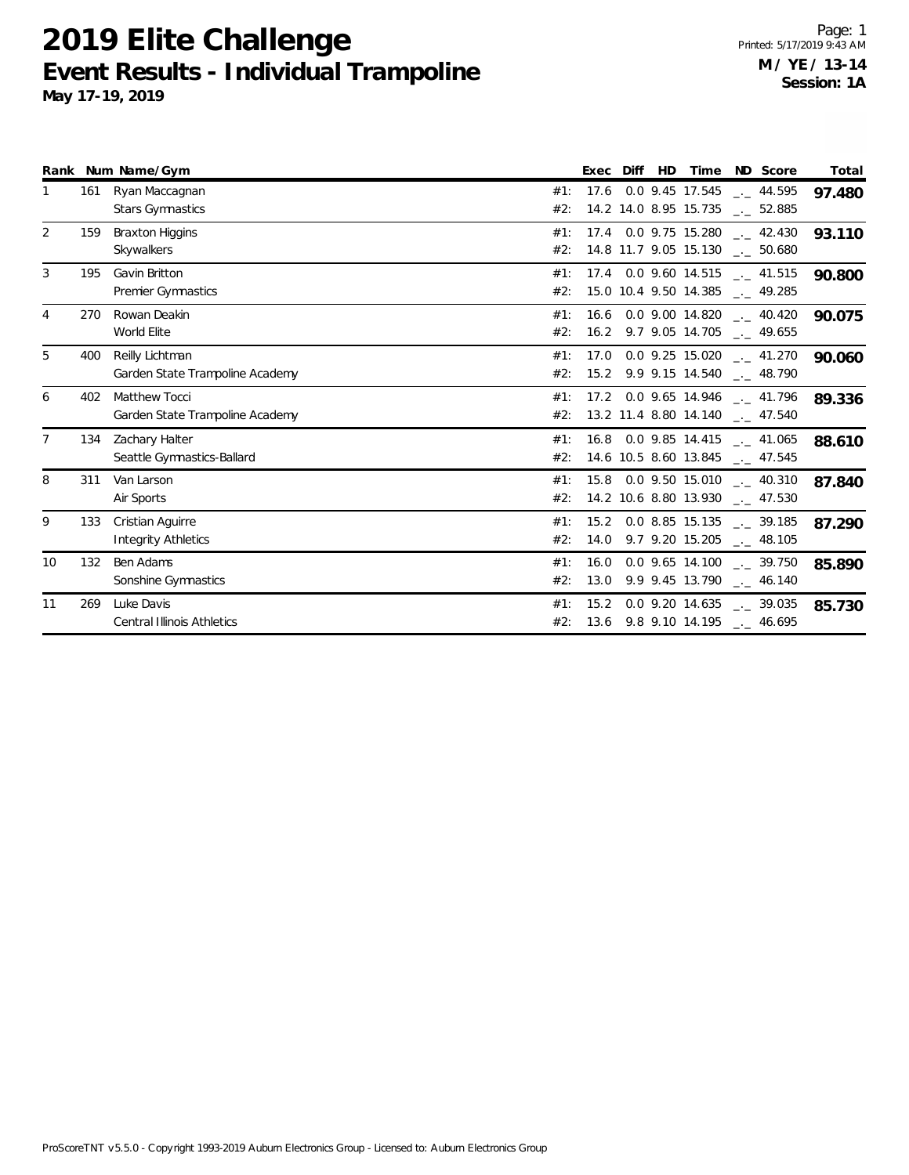|    |     | Rank Num Name/Gym                                       |            | Exec Diff | HD |                       | Time ND Score                                                           | Total  |
|----|-----|---------------------------------------------------------|------------|-----------|----|-----------------------|-------------------------------------------------------------------------|--------|
|    | 161 | Ryan Maccagnan<br><b>Stars Gymnastics</b>               | #1:<br>#2: |           |    | 14.2 14.0 8.95 15.735 | 17.6 0.0 9.45 17.545 __ 44.595<br>$\overline{\phantom{0}}$ . 52.885     | 97.480 |
| 2  | 159 | <b>Braxton Higgins</b><br>Skywalkers                    | #1:<br>#2: |           |    |                       | 17.4 0.0 9.75 15.280 42.430<br>14.8 11.7 9.05 15.130 __ 50.680          | 93.110 |
| 3  | 195 | Gavin Britton<br>Premier Gymnastics                     | #1:<br>#2: |           |    |                       | 17.4 0.0 9.60 14.515 __ 41.515<br>15.0 10.4 9.50 14.385 __ 49.285       | 90.800 |
| 4  | 270 | Rowan Deakin<br>World Elite                             | #1:<br>#2: |           |    |                       | 16.6 0.0 9.00 14.820 . 40.420<br>$16.2$ 9.7 9.05 14.705 $-$ 49.655      | 90.075 |
| 5  | 400 | Reilly Lichtman<br>Garden State Trampoline Academy      | #1:<br>#2: | 17.0      |    |                       | $0.0$ 9.25 15.020 $\ldots$ 41.270<br>15.2 9.9 9.15 14.540 . 48.790      | 90.060 |
| 6  | 402 | <b>Matthew Tocci</b><br>Garden State Trampoline Academy | #1:<br>#2: |           |    |                       | 17.2 0.0 9.65 14.946 . 41.796<br>13.2 11.4 8.80 14.140 $_{\sim}$ 47.540 | 89.336 |
| 7  | 134 | Zachary Halter<br>Seattle Gymnastics-Ballard            | #1:<br>#2: |           |    |                       | 16.8 0.0 9.85 14.415 . 41.065<br>14.6 10.5 8.60 13.845 __ 47.545        | 88.610 |
| 8  | 311 | Van Larson<br>Air Sports                                | #1:<br>#2: |           |    |                       | 15.8 0.0 9.50 15.010 __ 40.310<br>14.2 10.6 8.80 13.930 __ 47.530       | 87.840 |
| 9  | 133 | Cristian Aquirre<br><b>Integrity Athletics</b>          | #1:<br>#2: |           |    |                       | 15.2 0.0 8.85 15.135 __ 39.185<br>14.0 9.7 9.20 15.205 - 48.105         | 87.290 |
| 10 | 132 | Ben Adams<br>Sonshine Gymnastics                        | #1:<br>#2: | 13.0      |    |                       | $16.0$ 0.0 9.65 14.100 $\ldots$ 39.750<br>9.9 9.45 13.790 $-$ 46.140    | 85.890 |
| 11 | 269 | Luke Davis<br><b>Central Illinois Athletics</b>         | #1:<br>#2: | 15.2      |    |                       | $0.0$ 9.20 14.635 $\_\_$ 39.035<br>13.6 9.8 9.10 14.195 __ 46.695       | 85.730 |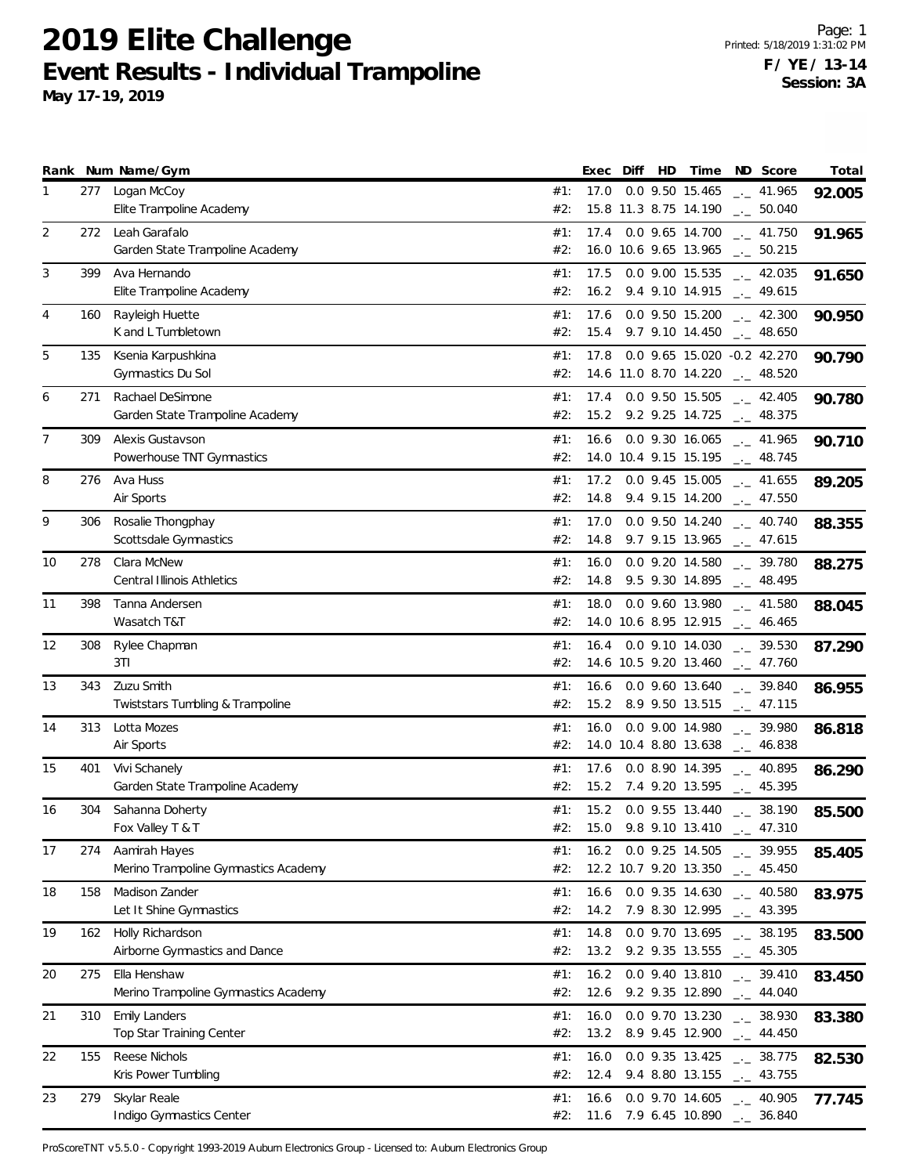|    |     | Rank Num Name/Gym                                |            | Exec | Diff | HD | Time                                                              | ND Score             | Total  |
|----|-----|--------------------------------------------------|------------|------|------|----|-------------------------------------------------------------------|----------------------|--------|
| 1  | 277 | Logan McCoy                                      | #1:        | 17.0 |      |    | 0.0 9.50 15.465                                                   | $-2$ 41.965          | 92.005 |
|    |     | Elite Trampoline Academy                         | #2:        |      |      |    | 15.8 11.3 8.75 14.190                                             | $-2$ 50.040          |        |
| 2  | 272 | Leah Garafalo                                    | #1:        | 17.4 |      |    | 0.0 9.65 14.700                                                   | $\frac{1}{2}$ 41.750 | 91.965 |
|    |     | Garden State Trampoline Academy                  | #2:        |      |      |    | 16.0 10.6 9.65 13.965                                             | $\frac{1}{2}$ 50.215 |        |
| 3  | 399 | Ava Hernando                                     | #1:        | 17.5 |      |    | 0.0 9.00 15.535                                                   | $\frac{1}{2}$ 42.035 | 91.650 |
|    |     | Elite Trampoline Academy                         | #2:        | 16.2 |      |    | 9.4 9.10 14.915 $\qquad$ 49.615                                   |                      |        |
| 4  | 160 | Rayleigh Huette                                  | #1:        | 17.6 |      |    | 0.0 9.50 15.200                                                   | $\frac{1}{2}$ 42.300 |        |
|    |     | K and L Tumbletown                               | #2:        | 15.4 |      |    | 9.7 9.10 14.450 $- 48.650$                                        |                      | 90.950 |
|    |     |                                                  |            |      |      |    |                                                                   |                      |        |
| 5  | 135 | Ksenia Karpushkina                               | #1:        | 17.8 |      |    | 0.0 9.65 15.020 -0.2 42.270                                       |                      | 90.790 |
|    |     | Gymnastics Du Sol                                | #2:        |      |      |    | 14.6 11.0 8.70 14.220                                             | $\sim$ 48.520        |        |
| 6  | 271 | Rachael DeSimone                                 | #1:        | 17.4 |      |    | 0.0 9.50 15.505                                                   | $\frac{1}{2}$ 42.405 | 90.780 |
|    |     | Garden State Trampoline Academy                  | #2:        | 15.2 |      |    | 9.2 9.25 14.725 $\qquad$ 48.375                                   |                      |        |
| 7  | 309 | Alexis Gustavson                                 | #1:        | 16.6 |      |    | $0.0$ 9.30 16.065 $_{\leftarrow}$ 41.965                          |                      | 90.710 |
|    |     | Powerhouse TNT Gymnastics                        | #2:        |      |      |    | 14.0 10.4 9.15 15.195 $\text{\_}2$ 48.745                         |                      |        |
| 8  | 276 | Ava Huss                                         | #1:        | 17.2 |      |    | 0.0 9.45 15.005                                                   | $\sim$ 41.655        | 89.205 |
|    |     | Air Sports                                       | #2:        | 14.8 |      |    | 9.4 9.15 14.200                                                   | $\frac{1}{2}$ 47.550 |        |
| 9  | 306 | Rosalie Thongphay                                | #1:        | 17.0 |      |    | 0.0 9.50 14.240                                                   | $-2$ 40.740          | 88.355 |
|    |     | Scottsdale Gymnastics                            | #2:        | 14.8 |      |    | 9.7 9.15 13.965                                                   | $\frac{1}{2}$ 47.615 |        |
|    |     |                                                  |            |      |      |    |                                                                   |                      |        |
| 10 | 278 | Clara McNew<br><b>Central Illinois Athletics</b> | #1:        | 16.0 |      |    | 0.0 9.20 14.580<br>9.5 9.30 14.895                                | $-2$ 39.780          | 88.275 |
|    |     |                                                  | #2:        | 14.8 |      |    |                                                                   | $\frac{1}{2}$ 48.495 |        |
| 11 | 398 | Tanna Andersen                                   | #1:        | 18.0 |      |    | 0.0 9.60 13.980                                                   | $_{\rm --}$ 41.580   | 88.045 |
|    |     | Wasatch T&T                                      | #2:        |      |      |    | 14.0 10.6 8.95 12.915 $\qquad \qquad -2$ 46.465                   |                      |        |
| 12 | 308 | Rylee Chapman                                    | #1:        | 16.4 |      |    | 0.0 9.10 14.030                                                   | $-2$ 39.530          | 87.290 |
|    |     | 3T1                                              | #2:        |      |      |    | 14.6 10.5 9.20 13.460                                             | $-2$ 47.760          |        |
| 13 | 343 | Zuzu Smith                                       | #1:        | 16.6 |      |    | 0.0 9.60 13.640                                                   | $-2$ 39.840          | 86.955 |
|    |     | Twiststars Tumbling & Trampoline                 | #2:        | 15.2 |      |    | 8.9 9.50 13.515                                                   | $\sim$ 47.115        |        |
| 14 | 313 | Lotta Mozes                                      | #1:        | 16.0 |      |    | 0.0 9.00 14.980                                                   | $\frac{1}{2}$ 39.980 | 86.818 |
|    |     | Air Sports                                       | #2:        |      |      |    | 14.0 10.4 8.80 13.638                                             | $-2$ 46.838          |        |
| 15 | 401 | Vivi Schanely                                    | #1:        | 17.6 |      |    | 0.0 8.90 14.395                                                   | $\frac{1}{2}$ 40.895 |        |
|    |     | Garden State Trampoline Academy                  | #2:        |      |      |    | 15.2 7.4 9.20 13.595 __ 45.395                                    |                      | 86.290 |
|    |     |                                                  |            |      |      |    |                                                                   |                      |        |
| 16 | 304 | Sahanna Doherty                                  | #1:<br>#2: |      |      |    | 15.2 0.0 9.55 13.440 $\frac{1}{2}$ 38.190<br>15.0 9.8 9.10 13.410 |                      | 85.500 |
|    |     | Fox Valley T & T                                 |            |      |      |    |                                                                   | $-2$ 47.310          |        |
| 17 | 274 | Aamirah Hayes                                    | #1:        | 16.2 |      |    | 0.0 9.25 14.505                                                   | $\frac{1}{2}$ 39.955 | 85.405 |
|    |     | Merino Trampoline Gymnastics Academy             | #2:        |      |      |    | 12.2 10.7 9.20 13.350                                             | $\frac{1}{2}$ 45.450 |        |
| 18 | 158 | Madison Zander                                   | #1:        | 16.6 |      |    | 0.0 9.35 14.630                                                   | $-1$ 40.580          | 83.975 |
|    |     | Let It Shine Gymnastics                          | #2:        | 14.2 |      |    | 7.9 8.30 12.995                                                   | $\frac{1}{2}$ 43.395 |        |
| 19 | 162 | Holly Richardson                                 | #1:        | 14.8 |      |    | 0.0 9.70 13.695                                                   | $\frac{1}{2}$ 38.195 | 83.500 |
|    |     | Airborne Gymnastics and Dance                    | #2:        | 13.2 |      |    | 9.2 9.35 13.555                                                   | $\frac{1}{2}$ 45.305 |        |
| 20 | 275 | Ella Henshaw                                     | #1:        | 16.2 |      |    | 0.0 9.40 13.810                                                   | $-2$ 39.410          | 83.450 |
|    |     | Merino Trampoline Gymnastics Academy             | #2:        | 12.6 |      |    | 9.2 9.35 12.890                                                   | $\frac{1}{2}$ 44.040 |        |
| 21 | 310 | <b>Emily Landers</b>                             | #1:        | 16.0 |      |    | 0.0 9.70 13.230                                                   | $-2$ 38.930          |        |
|    |     | Top Star Training Center                         | #2:        | 13.2 |      |    | 8.9 9.45 12.900                                                   | $\frac{1}{2}$ 44.450 | 83.380 |
|    |     |                                                  |            |      |      |    |                                                                   |                      |        |
| 22 | 155 | Reese Nichols                                    | #1:        | 16.0 |      |    | $0.0$ 9.35 13.425                                                 | $\frac{1}{2}$ 38.775 | 82.530 |
|    |     | Kris Power Tumbling                              | #2:        | 12.4 |      |    | 9.4 8.80 13.155                                                   | $\frac{1}{2}$ 43.755 |        |
| 23 | 279 | Skylar Reale                                     | #1:        | 16.6 |      |    | 0.0 9.70 14.605                                                   | $-2$ 40.905          | 77.745 |
|    |     | Indigo Gymnastics Center                         | #2:        | 11.6 |      |    | 7.9 6.45 10.890                                                   | $-2$ 36.840          |        |

ProScoreTNT v5.5.0 - Copyright 1993-2019 Auburn Electronics Group - Licensed to: Auburn Electronics Group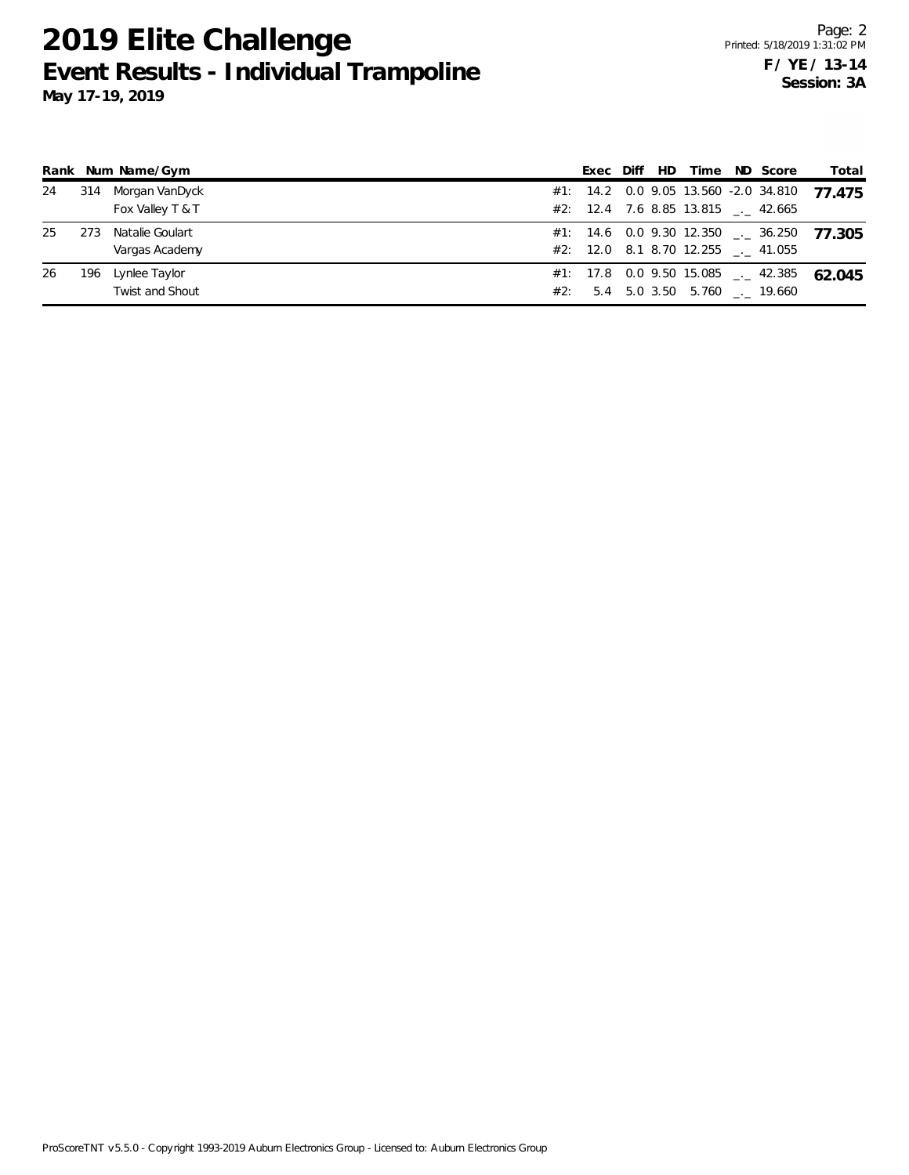|    |     | Rank Num Name/Gym      |  |  | Exec Diff HD Time ND Score             |                                 | Total                                           |
|----|-----|------------------------|--|--|----------------------------------------|---------------------------------|-------------------------------------------------|
| 24 | 314 | Morgan VanDyck         |  |  |                                        |                                 | #1: 14.2 0.0 9.05 13.560 -2.0 34.810 77.475     |
|    |     | Fox Valley T & T       |  |  | #2: 12.4 7.6 8.85 13.815 $\leq$ 42.665 |                                 |                                                 |
| 25 | 273 | Natalie Goulart        |  |  |                                        |                                 | $#1:$ 14.6 0.0 9.30 12.350 $\_\_$ 36.250 77 305 |
|    |     | Vargas Academy         |  |  | #2: 12.0 8.1 8.70 12.255 . 41.055      |                                 |                                                 |
| 26 | 196 | Lynlee Taylor          |  |  |                                        |                                 | #1: 17.8 0.0 9.50 15.085 $\leq$ 42.385 62.045   |
|    |     | <b>Twist and Shout</b> |  |  |                                        | #2: 5.4 5.0 3.50 5.760 . 19.660 |                                                 |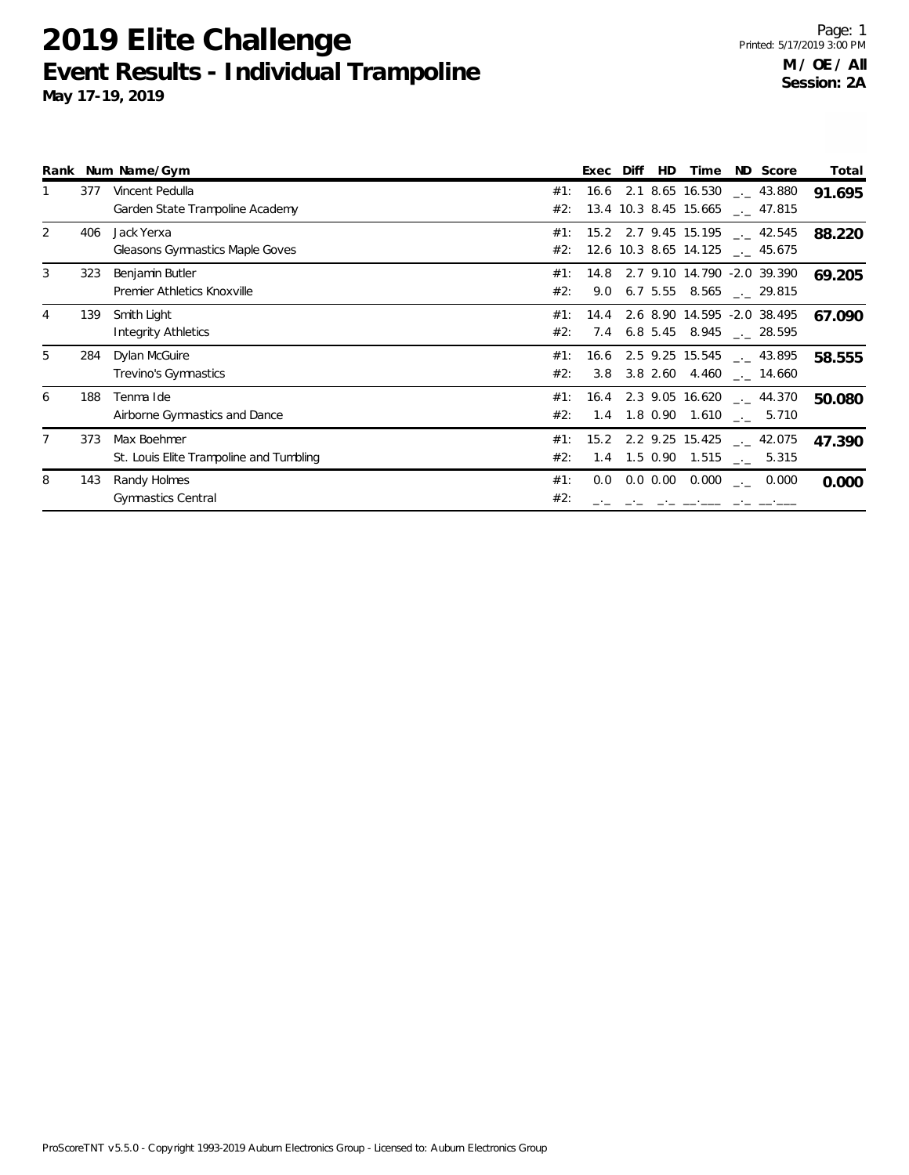|   |     | Rank Num Name/Gym                                  |            | Exec | Diff         | <b>HD</b>     | Time  | ND Score                                                      | Total  |
|---|-----|----------------------------------------------------|------------|------|--------------|---------------|-------|---------------------------------------------------------------|--------|
|   | 377 | Vincent Pedulla<br>Garden State Trampoline Academy | #1:<br>#2: | 16.6 |              |               |       | 2.1 8.65 16.530 $-$ 43.880<br>13.4 10.3 8.45 15.665 __ 47.815 | 91.695 |
|   |     |                                                    |            |      |              |               |       |                                                               |        |
| 2 | 406 | Jack Yerxa                                         | #1:        |      |              |               |       | 15.2 2.7 9.45 15.195 __ 42.545                                | 88.220 |
|   |     | Gleasons Gymnastics Maple Goves                    | #2:        |      |              |               |       | 12.6 10.3 8.65 14.125 __ 45.675                               |        |
| 3 | 323 | Benjamin Butler                                    | #1:        | 14.8 |              |               |       | 2.7 9.10 14.790 -2.0 39.390                                   | 69.205 |
|   |     | Premier Athletics Knoxville                        | #2:        | 9.0  |              | 6.7 5.55      |       | $8.565$ $_{\leftarrow}$ 29.815                                |        |
| 4 | 139 | Smith Light                                        | #1:        | 14.4 |              |               |       | 2.6 8.90 14.595 -2.0 38.495                                   | 67.090 |
|   |     | <b>Integrity Athletics</b>                         | #2:        |      | 7.4 6.8 5.45 |               |       | 8.945 $\_\cdot$ 28.595                                        |        |
| 5 | 284 | Dylan McGuire                                      | #1:        |      |              |               |       | $16.6$ 2.5 9.25 15.545 $\ldots$ 43.895                        | 58.555 |
|   |     | Trevino's Gymnastics                               | #2:        |      |              |               |       | 3.8 3.8 2.60 4.460 . 14.660                                   |        |
| 6 | 188 | Tenma Ide                                          | #1:        |      |              |               |       | $16.4$ 2.3 9.05 16.620 $\text{---}$ 44.370                    | 50.080 |
|   |     | Airborne Gymnastics and Dance                      | #2:        | 1.4  |              | 1.8 0.90      |       | $1.610$ $_{\leftarrow}$ 5.710                                 |        |
|   | 373 | Max Boehmer                                        | #1:        | 15.2 |              |               |       | 2.2 9.25 15.425 $\ldots$ 42.075                               | 47.390 |
|   |     | St. Louis Elite Trampoline and Tumbling            | #2:        |      | 1.4 1.5 0.90 |               |       | $1.515$ $_{\_}$ 5.315                                         |        |
| 8 | 143 | Randy Holmes                                       | #1:        | 0.0  |              | $0.0 \, 0.00$ | 0.000 | 0.000<br>$\Delta\Delta\Delta\Delta$                           | 0.000  |
|   |     | <b>Gymnastics Central</b>                          | #2:        |      |              |               |       |                                                               |        |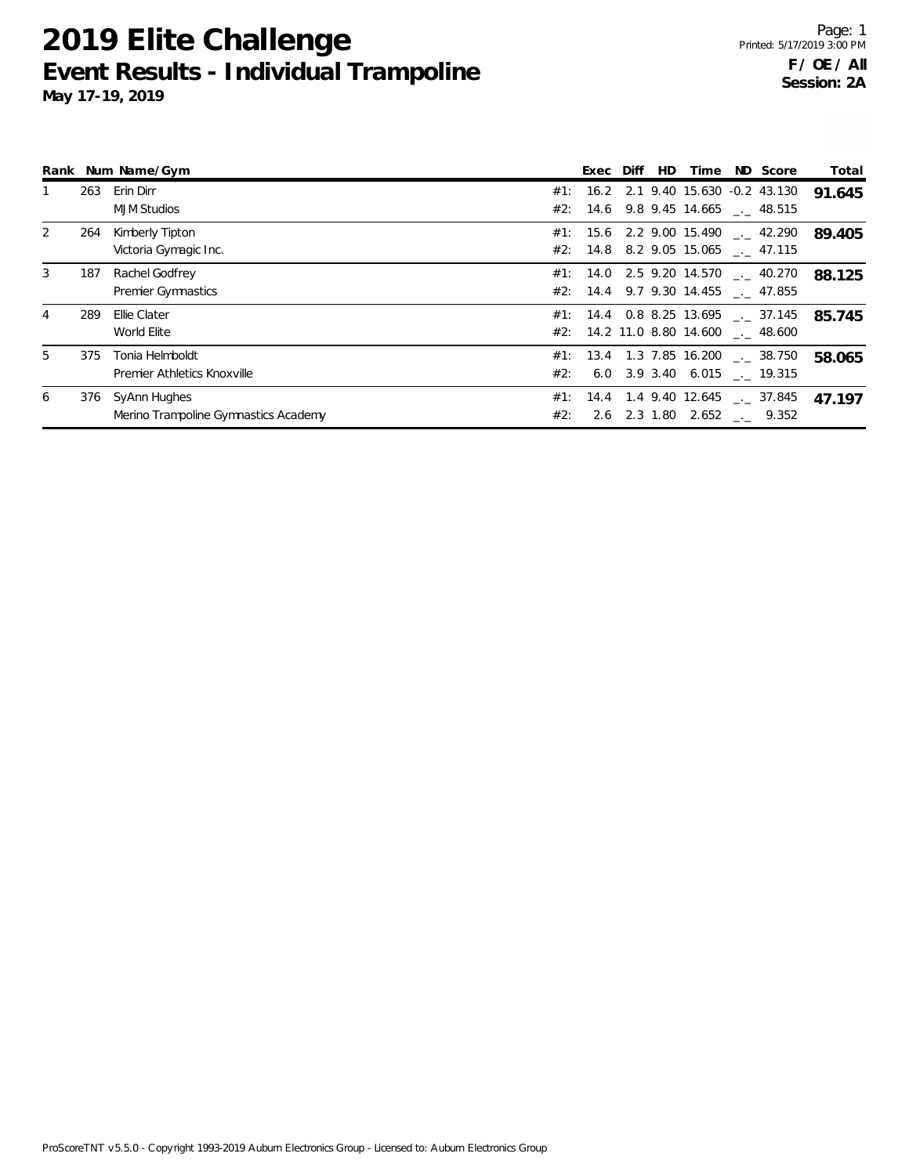**2019 Elite Challenge**

#2: 2.6 2.3 1.80 2.652 \_\_ 9.352

|    |     | Rank Num Name/Gym           |     | Exec Diff | HD | Time | ND Score                                 | Total  |
|----|-----|-----------------------------|-----|-----------|----|------|------------------------------------------|--------|
| 1  | 263 | Erin Dirr                   | #1: |           |    |      | 16.2 2.1 9.40 15.630 -0.2 43.130         | 91.645 |
|    |     | <b>MJM Studios</b>          |     |           |    |      | #2: 14.6 9.8 9.45 14.665 $\_\_$ 48.515   |        |
| 2  | 264 | Kimberly Tipton             |     |           |    |      | #1: 15.6 2.2 9.00 15.490 $\ldots$ 42.290 | 89.405 |
|    |     | Victoria Gymagic Inc.       |     |           |    |      | #2: $14.8$ 8.2 9.05 15.065 __ 47.115     |        |
| 3  | 187 | Rachel Godfrey              |     |           |    |      | $\#1$ : 14.0 2.5 9.20 14.570 __ 40.270   | 88.125 |
|    |     | <b>Premier Gymnastics</b>   |     |           |    |      | #2: 14.4 9.7 9.30 14.455 $\_\_$ 47.855   |        |
| 4  | 289 | Ellie Clater                |     |           |    |      | $\#1$ : 14.4 0.8 8.25 13.695 __ 37.145   | 85.745 |
|    |     | World Elite                 |     |           |    |      | #2: 14.2 11.0 8.80 14.600 . 48.600       |        |
| 5. | 375 | Tonia Helmboldt             |     |           |    |      | #1: 13.4 1.3 7.85 16.200  38.750         | 58.065 |
|    |     | Premier Athletics Knoxville | #2: |           |    |      | 6.0 3.9 3.40 6.015 . 19.315              |        |
| 6  |     | 376 SyAnn Hughes            |     |           |    |      | #1: 14.4 1.4 9.40 12.645 $\leq$ 37.845   | 47.197 |

**Event Results - Individual Trampoline May 17-19, 2019**

Merino Trampoline Gymnastics Academy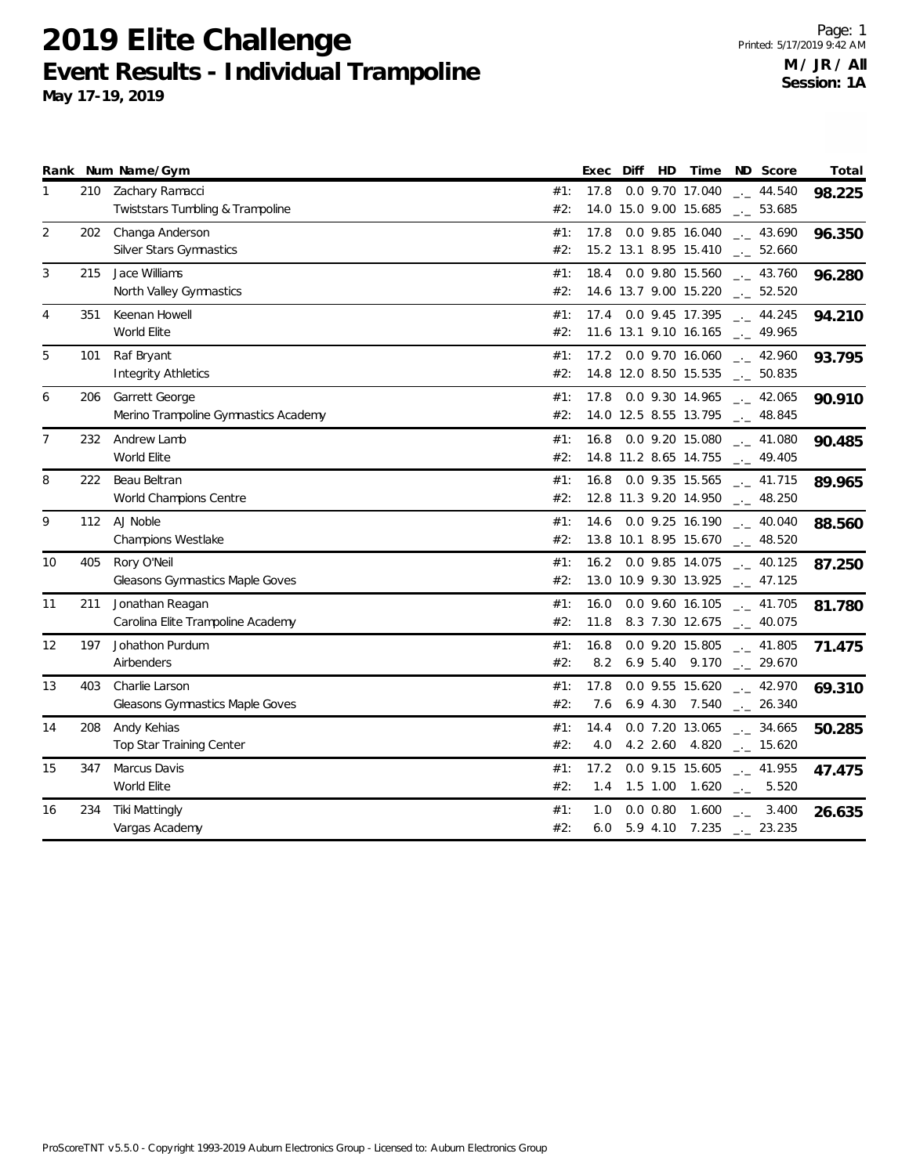**May 17-19, 2019**

| Rank           |     | Num Name/Gym                                             |            | Exec         | Diff | HD                       | Time                                             | ND Score                                     | Total  |
|----------------|-----|----------------------------------------------------------|------------|--------------|------|--------------------------|--------------------------------------------------|----------------------------------------------|--------|
| 1              | 210 | Zachary Ramacci<br>Twiststars Tumbling & Trampoline      | #1:<br>#2: | 17.8         |      |                          | 0.0 9.70 17.040<br>14.0 15.0 9.00 15.685         | $- - 44.540$<br>$\frac{1}{2}$ 53.685         | 98.225 |
| 2              | 202 | Changa Anderson<br><b>Silver Stars Gymnastics</b>        | #1:<br>#2: | 17.8         |      |                          | 0.0 9.85 16.040<br>15.2 13.1 8.95 15.410         | $\frac{1}{2}$ 43.690<br>$\frac{1}{2}$ 52.660 | 96.350 |
| 3              | 215 | Jace Williams<br>North Valley Gymnastics                 | #1:<br>#2: | 18.4         |      |                          | 0.0 9.80 15.560<br>14.6 13.7 9.00 15.220         | $-2$ 43.760<br>$\frac{1}{2}$ 52.520          | 96.280 |
| 4              | 351 | Keenan Howell<br>World Elite                             | #1:<br>#2: |              |      |                          | 17.4 0.0 9.45 17.395<br>11.6 13.1 9.10 16.165    | $\frac{1}{2}$ 44.245<br>$-1$ 49.965          | 94.210 |
| 5              | 101 | Raf Bryant<br><b>Integrity Athletics</b>                 | #1:<br>#2: |              |      |                          | 17.2  0.0  9.70  16.060<br>14.8 12.0 8.50 15.535 | $-2.960$<br>$\_$ 50.835                      | 93.795 |
| 6              | 206 | Garrett George<br>Merino Trampoline Gymnastics Academy   | #1:<br>#2: | 17.8         |      |                          | 0.0 9.30 14.965<br>14.0 12.5 8.55 13.795         | $\frac{1}{2}$ 42.065<br>$\frac{1}{2}$ 48.845 | 90.910 |
| $\overline{7}$ | 232 | Andrew Lamb<br>World Elite                               | #1:<br>#2: | 16.8         |      |                          | 0.0 9.20 15.080<br>14.8 11.2 8.65 14.755         | $\frac{1}{2}$ 41.080<br>$\frac{1}{2}$ 49.405 | 90.485 |
| 8              | 222 | Beau Beltran<br>World Champions Centre                   | #1:<br>#2: | 16.8         |      |                          | 0.0 9.35 15.565<br>12.8 11.3 9.20 14.950         | $\frac{1}{2}$ 41.715<br>$\frac{1}{2}$ 48.250 | 89.965 |
| 9              |     | 112 AJ Noble<br><b>Champions Westlake</b>                | #1:<br>#2: | 14.6         |      |                          | 0.0 9.25 16.190<br>13.8 10.1 8.95 15.670         | $\frac{1}{2}$ 40.040<br>$\sim$ 48.520        | 88.560 |
| 10             | 405 | Rory O'Neil<br><b>Gleasons Gymnastics Maple Goves</b>    | #1:<br>#2: |              |      |                          | 16.2 0.0 9.85 14.075<br>13.0 10.9 9.30 13.925    | $-2$ 40.125<br>$\frac{1}{2}$ 47.125          | 87.250 |
| 11             | 211 | Jonathan Reagan<br>Carolina Elite Trampoline Academy     | #1:<br>#2: | 16.0<br>11.8 |      |                          | 0.0 9.60 16.105<br>8.3 7.30 12.675               | $\frac{1}{2}$ 41.705<br>$\frac{1}{2}$ 40.075 | 81.780 |
| 12             | 197 | Johathon Purdum<br>Airbenders                            | #1:<br>#2: | 16.8<br>8.2  |      |                          | 0.0 9.20 15.805<br>6.9 5.40 9.170                | $-2$ 41.805<br>$-29.670$                     | 71.475 |
| 13             | 403 | Charlie Larson<br><b>Gleasons Gymnastics Maple Goves</b> | #1:<br>#2: | 17.8<br>7.6  |      | $6.9$ 4.30               | 0.0 9.55 15.620<br>7.540                         | $-1$ 42.970<br>$-26.340$                     | 69.310 |
| 14             | 208 | Andy Kehias<br>Top Star Training Center                  | #1:<br>#2: | 14.4<br>4.0  |      | $4.2$ 2.60               | 0.0 7.20 13.065<br>4.820                         | $-2.34.665$<br>$\frac{1}{2}$ 15.620          | 50.285 |
| 15             | 347 | Marcus Davis<br>World Elite                              | #1:<br>#2: | 17.2<br>1.4  |      | $1.5$ 1.00               | 0.0 9.15 15.605<br>1.620                         | $-1$ 41.955<br>$-2$ 5.520                    | 47.475 |
| 16             | 234 | <b>Tiki Mattingly</b><br>Vargas Academy                  | #1:<br>#2: | 1.0<br>6.0   |      | $0.0$ $0.80$<br>5.9 4.10 | 1.600<br>7.235                                   | 3.400<br>$\rightarrow$<br>$-23.235$          | 26.635 |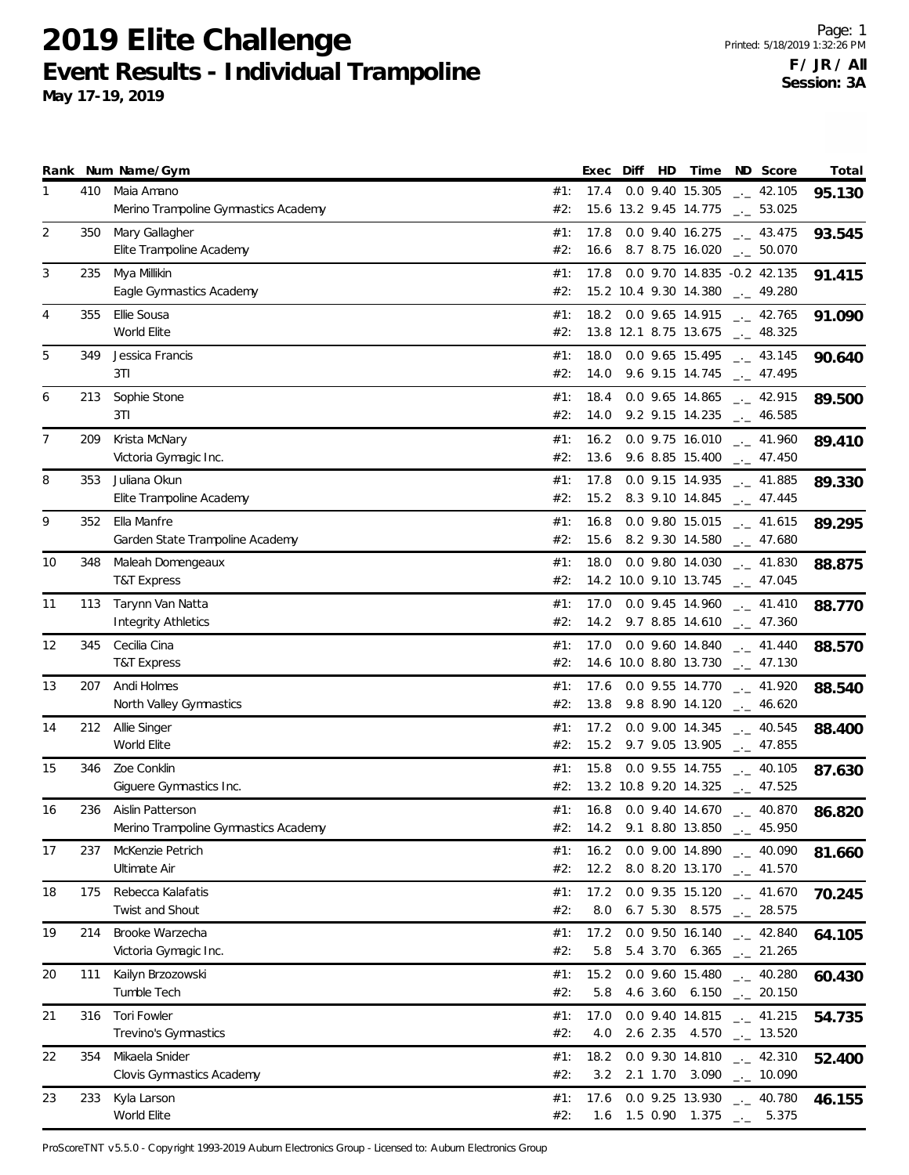**May 17-19, 2019**

|    |     | Rank Num Name/Gym                                        |            | Exec Diff HD |  | Time                                     | ND Score                                                                   | Total  |
|----|-----|----------------------------------------------------------|------------|--------------|--|------------------------------------------|----------------------------------------------------------------------------|--------|
| 1  | 410 | Maia Amano<br>Merino Trampoline Gymnastics Academy       | #1:<br>#2: | 17.4         |  | 0.0 9.40 15.305<br>15.6 13.2 9.45 14.775 | $\frac{1}{2}$ 42.105<br>$\sim$ 53.025                                      | 95.130 |
| 2  | 350 | Mary Gallagher<br>Elite Trampoline Academy               | #1:<br>#2: | 17.8<br>16.6 |  | 0.0 9.40 16.275<br>8.7 8.75 16.020       | $-2$ 43.475<br>$\sim$ 50.070                                               | 93.545 |
| 3  | 235 | Mya Millikin<br>Eagle Gymnastics Academy                 | #1:<br>#2: | 17.8         |  | 15.2 10.4 9.30 14.380                    | 0.0 9.70 14.835 -0.2 42.135<br>$\frac{1}{2}$ 49.280                        | 91.415 |
| 4  | 355 | Ellie Sousa<br>World Elite                               | #1:<br>#2: |              |  | 18.2 0.0 9.65 14.915                     | $\frac{1}{2}$ 42.765<br>13.8 12.1 8.75 13.675 $\qquad$ 48.325              | 91.090 |
| 5  | 349 | Jessica Francis<br>3T1                                   | #1:<br>#2: | 18.0<br>14.0 |  | 0.0 9.65 15.495                          | $\frac{1}{2}$ 43.145<br>9.6 9.15 14.745 $_{\leftarrow}$ 47.495             | 90.640 |
| 6  | 213 | Sophie Stone<br>3T1                                      | #1:<br>#2: | 18.4<br>14.0 |  | 0.0 9.65 14.865<br>9.2 9.15 14.235       | $\frac{1}{2}$ 42.915<br>$-2$ 46.585                                        | 89.500 |
| 7  | 209 | Krista McNary<br>Victoria Gymagic Inc.                   | #1:<br>#2: | 16.2<br>13.6 |  | 0.0 9.75 16.010<br>9.6 8.85 15.400       | $\frac{1}{2}$ 41.960<br>$\sim$ 47.450                                      | 89.410 |
| 8  | 353 | Juliana Okun<br>Elite Trampoline Academy                 | #1:<br>#2: | 17.8<br>15.2 |  | 0.0 9.15 14.935                          | $\frac{1}{2}$ 41.885<br>8.3 9.10 14.845 $_{\leftarrow}$ 47.445             | 89.330 |
| 9  | 352 | Ella Manfre<br>Garden State Trampoline Academy           | #1:<br>#2: | 16.8<br>15.6 |  | 0.0 9.80 15.015<br>8.2 9.30 14.580       | $\frac{1}{2}$ 41.615<br>$\frac{1}{2}$ 47.680                               | 89.295 |
| 10 | 348 | Maleah Domengeaux<br><b>T&amp;T Express</b>              | #1:<br>#2: | 18.0         |  | 0.0 9.80 14.030<br>14.2 10.0 9.10 13.745 | $\frac{1}{2}$ 41.830<br>$-2$ 47.045                                        | 88.875 |
| 11 | 113 | Tarynn Van Natta<br><b>Integrity Athletics</b>           | #1:<br>#2: | 17.0         |  | 0.0 9.45 14.960                          | $\sim$ 41.410<br>14.2 9.7 8.85 14.610 $-$ 47.360                           | 88.770 |
| 12 | 345 | Cecilia Cina<br><b>T&amp;T Express</b>                   | #1:<br>#2: | 17.0         |  | 0.0 9.60 14.840<br>14.6 10.0 8.80 13.730 | $-$ 41.440<br>$-2$ 47.130                                                  | 88.570 |
| 13 | 207 | Andi Holmes<br>North Valley Gymnastics                   | #1:<br>#2: | 17.6<br>13.8 |  | 0.0 9.55 14.770<br>9.8 8.90 14.120       | $-$ 41.920<br>$-2$ 46.620                                                  | 88.540 |
| 14 | 212 | Allie Singer<br>World Elite                              | #1:<br>#2: | 17.2<br>15.2 |  | 0.0 9.00 14.345<br>9.7 9.05 13.905       | $\frac{1}{2}$ 40.545<br>$\frac{1}{2}$ 47.855                               | 88.400 |
| 15 | 346 | Zoe Conklin<br>Giguere Gymnastics Inc.                   | #1:<br>#2: | 15.8         |  | 0.0 9.55 14.755                          | $\sim$ 40.105<br>13.2 10.8 9.20 14.325 ___ 47.525                          | 87.630 |
| 16 | 236 | Aislin Patterson<br>Merino Trampoline Gymnastics Academy | #1:<br>#2: | 16.8         |  | 14.2 9.1 8.80 13.850 $\frac{1}{2}$       | $0.0$ 9.40 14.670 $\ldots$ 40.870<br>45.950                                | 86.820 |
| 17 | 237 | McKenzie Petrich<br>Ultimate Air                         | #1:<br>#2: | 16.2<br>12.2 |  | 0.0 9.00 14.890<br>8.0 8.20 13.170       | $\frac{1}{2}$ 40.090<br>$\frac{1}{2}$ 41.570                               | 81.660 |
| 18 | 175 | Rebecca Kalafatis<br>Twist and Shout                     | #1:<br>#2: | 17.2<br>8.0  |  | 0.0 9.35 15.120<br>6.7 5.30 8.575        | $\frac{1}{2}$ 41.670<br>$\frac{1}{2}$ 28.575                               | 70.245 |
| 19 | 214 | Brooke Warzecha<br>Victoria Gymagic Inc.                 | #1:<br>#2: | 17.2<br>5.8  |  |                                          | 0.0 9.50 16.140 $_{\leftarrow}$ 42.840<br>5.4 3.70 6.365 $\qquad$ 21.265   | 64.105 |
| 20 | 111 | Kailyn Brzozowski<br>Tumble Tech                         | #1:<br>#2: | 15.2<br>5.8  |  |                                          | 0.0 9.60 15.480 $_{\leftarrow}$ 40.280<br>4.6 3.60 6.150 $\qquad$ 20.150   | 60.430 |
| 21 | 316 | Tori Fowler<br>Trevino's Gymnastics                      | #1:<br>#2: | 17.0<br>4.0  |  | 0.0 9.40 14.815<br>2.6 2.35 4.570        | $\frac{1}{2}$ 41.215<br>$\frac{1}{2}$ 13.520                               | 54.735 |
| 22 | 354 | Mikaela Snider<br>Clovis Gymnastics Academy              | #1:<br>#2: | 18.2<br>3.2  |  |                                          | 0.0 9.30 14.810 $_{\leftarrow}$ 42.310<br>2.1 1.70 3.090 $\qquad$ - 10.090 | 52.400 |
| 23 | 233 | Kyla Larson<br>World Elite                               | #1:<br>#2: | 17.6         |  |                                          | 0.0 9.25 13.930 $_{\sim}$ 40.780<br>1.6 1.5 0.90 1.375 $\qquad$ 5.375      | 46.155 |

ProScoreTNT v5.5.0 - Copyright 1993-2019 Auburn Electronics Group - Licensed to: Auburn Electronics Group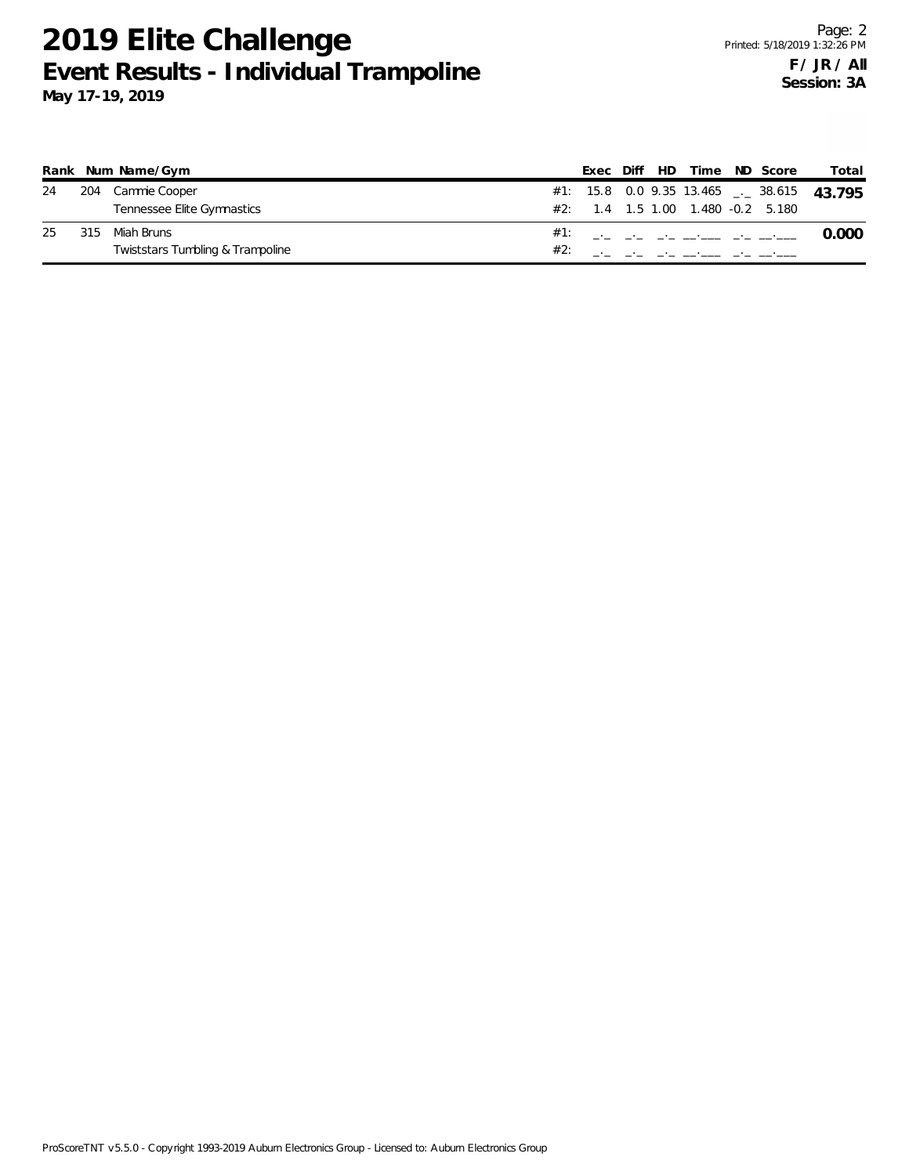|    |     | Rank Num Name/Gym                |  |  | Exec Diff HD Time ND Score            |  | Total                                       |
|----|-----|----------------------------------|--|--|---------------------------------------|--|---------------------------------------------|
| 24 |     | 204 Cammie Cooper                |  |  |                                       |  | $#1:$ 15.8 0.0 9.35 13.465 __ 38.615 43.795 |
|    |     | Tennessee Elite Gymnastics       |  |  | $\#2$ : 1.4 1.5 1.00 1.480 -0.2 5.180 |  |                                             |
| 25 | 315 | Miah Bruns                       |  |  |                                       |  |                                             |
|    |     | Twiststars Tumbling & Trampoline |  |  |                                       |  |                                             |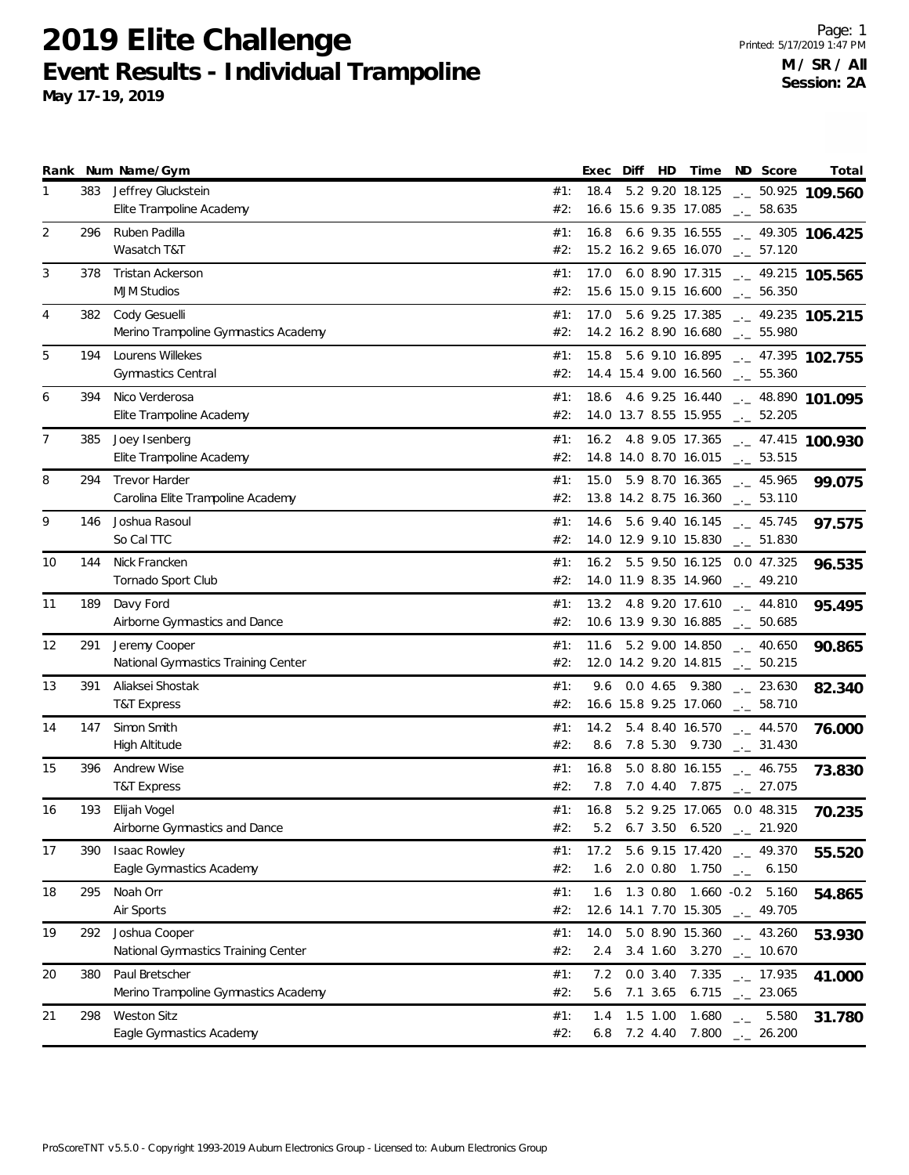**May 17-19, 2019**

|    |     | Rank Num Name/Gym                               |            | Exec        | Diff | HD         | Time                                                   |                    | ND Score                                     | Total                                   |
|----|-----|-------------------------------------------------|------------|-------------|------|------------|--------------------------------------------------------|--------------------|----------------------------------------------|-----------------------------------------|
| 1  | 383 | Jeffrey Gluckstein                              | #1:        | 18.4        |      |            | 5.2 9.20 18.125                                        |                    |                                              | $-2$ 50.925 109.560                     |
|    |     | Elite Trampoline Academy                        | #2:        |             |      |            | 16.6 15.6 9.35 17.085                                  |                    | $-2$ 58.635                                  |                                         |
| 2  | 296 | Ruben Padilla                                   | #1:        | 16.8        |      |            | 6.6 9.35 16.555                                        |                    |                                              | $-2$ 49.305 106.425                     |
|    |     | Wasatch T&T                                     | #2:        |             |      |            | 15.2 16.2 9.65 16.070                                  |                    | $\frac{1}{2}$ 57.120                         |                                         |
| 3  | 378 | <b>Tristan Ackerson</b>                         | #1:        | 17.0        |      |            | 6.0 8.90 17.315                                        |                    |                                              | $-2$ 49.215 105.565                     |
|    |     | <b>MJM Studios</b>                              | #2:        |             |      |            | 15.6 15.0 9.15 16.600                                  |                    | $\sim$ 56.350                                |                                         |
| 4  | 382 | Cody Gesuelli                                   | #1:        | 17.0        |      |            | 5.6 9.25 17.385                                        |                    |                                              | $-2$ 49.235 105.215                     |
|    |     | Merino Trampoline Gymnastics Academy            | #2:        |             |      |            | 14.2 16.2 8.90 16.680                                  |                    | $-2$ 55.980                                  |                                         |
| 5  | 194 | Lourens Willekes                                | #1:        | 15.8        |      |            | 5.6 9.10 16.895                                        |                    |                                              | $-2$ 47.395 102.755                     |
|    |     | Gymnastics Central                              | #2:        |             |      |            | 14.4 15.4 9.00 16.560 $\qquad$ 55.360                  |                    |                                              |                                         |
| 6  | 394 | Nico Verderosa                                  | #1:        | 18.6        |      |            | 4.6 9.25 16.440                                        |                    |                                              | $-1$ 48.890 101.095                     |
|    |     | Elite Trampoline Academy                        | #2:        |             |      |            | 14.0 13.7 8.55 15.955                                  |                    | $\frac{1}{2}$ 52.205                         |                                         |
| 7  | 385 | Joey Isenberg                                   | #1:        |             |      |            |                                                        |                    |                                              | 16.2 4.8 9.05 17.365 $-$ 47.415 100.930 |
|    |     | Elite Trampoline Academy                        | #2:        |             |      |            | 14.8 14.0 8.70 16.015 $\qquad$ 53.515                  |                    |                                              |                                         |
| 8  | 294 | <b>Trevor Harder</b>                            | #1:        | 15.0        |      |            | $5.9$ 8.70 16.365 $-$ 45.965                           |                    |                                              | 99.075                                  |
|    |     | Carolina Elite Trampoline Academy               | #2:        |             |      |            | 13.8 14.2 8.75 16.360 $\qquad$ 53.110                  |                    |                                              |                                         |
| 9  | 146 | Joshua Rasoul                                   | #1:        | 14.6        |      |            | 5.6 9.40 16.145                                        |                    | $\frac{1}{2}$ 45.745                         |                                         |
|    |     | So Cal TTC                                      | #2:        |             |      |            | 14.0 12.9 9.10 15.830                                  |                    | $\sim$ 51.830                                | 97.575                                  |
| 10 | 144 | Nick Francken                                   | #1:        |             |      |            | 16.2 5.5 9.50 16.125 0.0 47.325                        |                    |                                              |                                         |
|    |     | Tornado Sport Club                              | #2:        |             |      |            | 14.0 11.9 8.35 14.960 $\frac{1}{2}$ 49.210             |                    |                                              | 96.535                                  |
| 11 | 189 | Davy Ford                                       | #1:        |             |      |            | 13.2 4.8 9.20 17.610                                   |                    | $_{\leftarrow}$ 44.810                       |                                         |
|    |     | Airborne Gymnastics and Dance                   | #2:        |             |      |            | 10.6 13.9 9.30 16.885 $\qquad$ 50.685                  |                    |                                              | 95.495                                  |
| 12 | 291 | Jeremy Cooper                                   | #1:        | 11.6        |      |            | 5.2 9.00 14.850                                        |                    |                                              |                                         |
|    |     | National Gymnastics Training Center             | #2:        |             |      |            | 12.0 14.2 9.20 14.815                                  |                    | $\frac{1}{2}$ 40.650<br>$\sim$ 50.215        | 90.865                                  |
| 13 | 391 | Aliaksei Shostak                                | #1:        | 9.6         |      |            | 0.0 4.65 9.380                                         |                    |                                              |                                         |
|    |     | <b>T&amp;T Express</b>                          | #2:        |             |      |            | 16.6 15.8 9.25 17.060                                  |                    | $\frac{1}{2}$ 23.630<br>$\frac{1}{2}$ 58.710 | 82.340                                  |
|    |     | Simon Smith                                     |            |             |      |            |                                                        |                    |                                              |                                         |
| 14 | 147 | High Altitude                                   | #1:<br>#2: | 14.2<br>8.6 |      |            | 5.4 8.40 16.570<br>7.8 5.30 9.730 $\frac{1}{2}$ 31.430 |                    | $-2$ 44.570                                  | 76.000                                  |
|    |     |                                                 |            |             |      |            |                                                        |                    |                                              |                                         |
| 15 | 396 | Andrew Wise<br><b>T&amp;T Express</b>           | #1:<br>#2: | 16.8<br>7.8 |      |            | $5.0$ 8.80 16.155 $\_ 46.755$<br>7.0 4.40 7.875        |                    | $\frac{1}{2}$ 27.075                         | 73.830                                  |
|    |     |                                                 |            |             |      |            |                                                        |                    |                                              |                                         |
| 16 | 193 | Elijah Vogel                                    | #1:<br>#2: | 16.8        |      |            | 5.2 9.25 17.065 0.0 48.315<br>5.2 6.7 3.50 6.520       |                    | 21.920                                       | 70.235                                  |
|    |     | Airborne Gymnastics and Dance                   |            |             |      |            |                                                        |                    |                                              |                                         |
| 17 | 390 | <b>Isaac Rowley</b><br>Eagle Gymnastics Academy | #1:<br>#2: | 17.2<br>1.6 |      |            | 5.6 9.15 17.420 $\_\_$ 49.370<br>2.0 0.80 1.750        |                    |                                              | 55.520                                  |
|    |     |                                                 |            |             |      |            |                                                        | $\mathbb{R}^{n-1}$ | 6.150                                        |                                         |
| 18 | 295 | Noah Orr                                        | #1:        | 1.6         |      |            | 1.3 0.80 1.660 -0.2 5.160                              |                    |                                              | 54.865                                  |
|    |     | Air Sports                                      | #2:        |             |      |            | 12.6 14.1 7.70 15.305 __ 49.705                        |                    |                                              |                                         |
| 19 | 292 | Joshua Cooper                                   | #1:        | 14.0        |      |            | 5.0 8.90 15.360 $\frac{1}{2}$ 43.260                   |                    |                                              | 53.930                                  |
|    |     | National Gymnastics Training Center             | #2:        | 2.4         |      |            | 3.4 1.60 3.270 $\qquad$ 10.670                         |                    |                                              |                                         |
| 20 | 380 | Paul Bretscher                                  | #1:        | 7.2         |      | 0.03.40    |                                                        |                    | $7.335$ $_{--}$ 17.935                       | 41.000                                  |
|    |     | Merino Trampoline Gymnastics Academy            | #2:        | 5.6         |      | 7.1 3.65   |                                                        |                    | 6.715 $\qquad \qquad -23.065$                |                                         |
| 21 | 298 | <b>Weston Sitz</b>                              | #1:        | 1.4         |      | $1.5$ 1.00 | 1.680                                                  | $\mathbb{R}^{n}$   | 5.580                                        | 31.780                                  |
|    |     | Eagle Gymnastics Academy                        | #2:        | 6.8         |      | 7.2 4.40   | 7.800                                                  |                    | $-26.200$                                    |                                         |